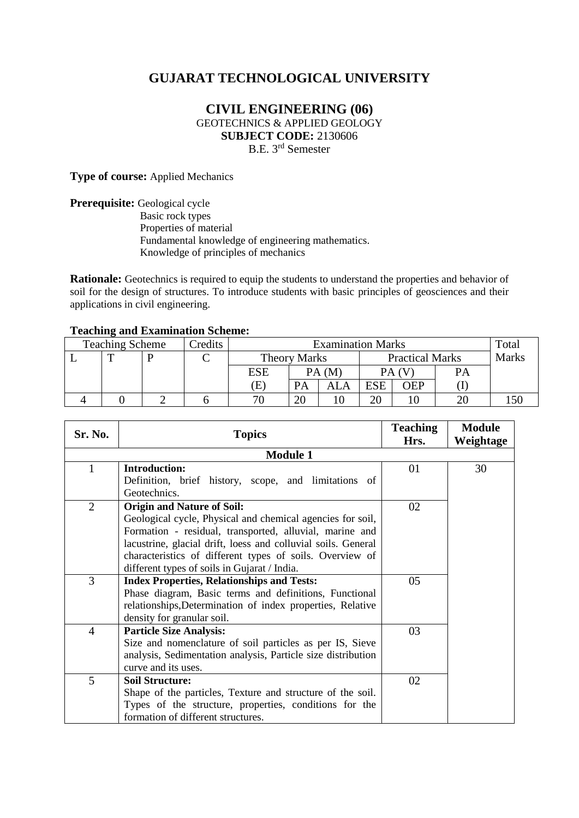# **GUJARAT TECHNOLOGICAL UNIVERSITY**

## **CIVIL ENGINEERING (06)** GEOTECHNICS & APPLIED GEOLOGY **SUBJECT CODE:** 2130606 B.E. 3 rd Semester

**Type of course:** Applied Mechanics

**Prerequisite:** Geological cycle Basic rock types Properties of material Fundamental knowledge of engineering mathematics. Knowledge of principles of mechanics

**Rationale:** Geotechnics is required to equip the students to understand the properties and behavior of soil for the design of structures. To introduce students with basic principles of geosciences and their applications in civil engineering.

#### **Teaching and Examination Scheme:**

| ຼ<br><b>Teaching Scheme</b> |  |  | Credits | <b>Examination Marks</b> |                     |  |                        |            | Total |              |
|-----------------------------|--|--|---------|--------------------------|---------------------|--|------------------------|------------|-------|--------------|
|                             |  |  |         |                          | <b>Theory Marks</b> |  | <b>Practical Marks</b> |            |       | <b>Marks</b> |
|                             |  |  |         | <b>ESE</b>               | PA (M               |  |                        |            | PА    |              |
|                             |  |  |         | Έ                        | PA                  |  | <b>ESE</b>             | <b>OEP</b> |       |              |
|                             |  |  |         | 70                       | 20                  |  | ጎቦ                     |            |       |              |

| Sr. No.        | <b>Topics</b>                                                 | <b>Teaching</b><br>Hrs. | <b>Module</b><br>Weightage |
|----------------|---------------------------------------------------------------|-------------------------|----------------------------|
|                | <b>Module 1</b>                                               |                         |                            |
|                |                                                               |                         |                            |
| 1              | <b>Introduction:</b>                                          | 01                      | 30                         |
|                | Definition, brief history, scope, and limitations of          |                         |                            |
|                | Geotechnics.                                                  |                         |                            |
| $\overline{2}$ | <b>Origin and Nature of Soil:</b>                             | 02                      |                            |
|                | Geological cycle, Physical and chemical agencies for soil,    |                         |                            |
|                | Formation - residual, transported, alluvial, marine and       |                         |                            |
|                | lacustrine, glacial drift, loess and colluvial soils. General |                         |                            |
|                | characteristics of different types of soils. Overview of      |                         |                            |
|                | different types of soils in Gujarat / India.                  |                         |                            |
| 3              | <b>Index Properties, Relationships and Tests:</b>             | 05                      |                            |
|                | Phase diagram, Basic terms and definitions, Functional        |                         |                            |
|                | relationships, Determination of index properties, Relative    |                         |                            |
|                | density for granular soil.                                    |                         |                            |
| $\overline{4}$ | <b>Particle Size Analysis:</b>                                | 03                      |                            |
|                | Size and nomenclature of soil particles as per IS, Sieve      |                         |                            |
|                | analysis, Sedimentation analysis, Particle size distribution  |                         |                            |
|                | curve and its uses.                                           |                         |                            |
| 5              | <b>Soil Structure:</b>                                        | 02                      |                            |
|                | Shape of the particles, Texture and structure of the soil.    |                         |                            |
|                | Types of the structure, properties, conditions for the        |                         |                            |
|                | formation of different structures.                            |                         |                            |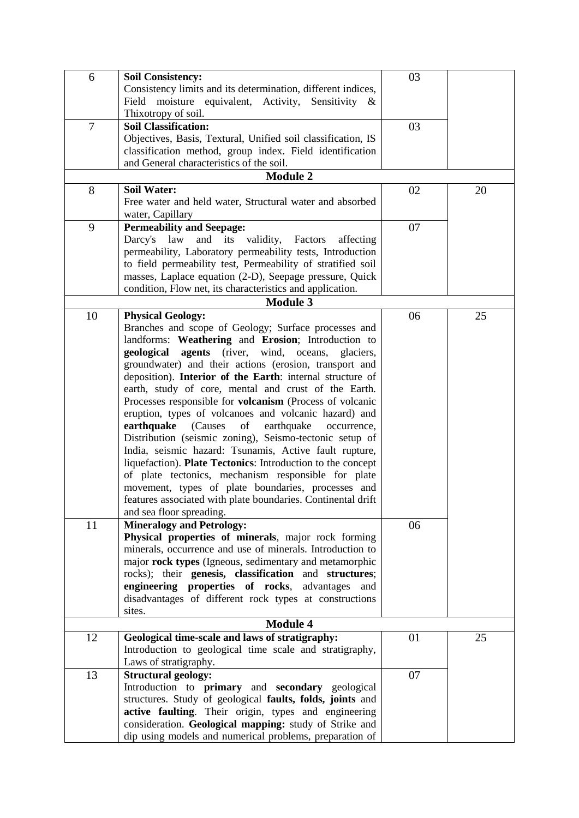| 6              | <b>Soil Consistency:</b>                                     | 03 |    |  |  |  |  |
|----------------|--------------------------------------------------------------|----|----|--|--|--|--|
|                | Consistency limits and its determination, different indices, |    |    |  |  |  |  |
|                | Field moisture equivalent, Activity, Sensitivity &           |    |    |  |  |  |  |
|                | Thixotropy of soil.                                          |    |    |  |  |  |  |
| $\overline{7}$ | <b>Soil Classification:</b>                                  | 03 |    |  |  |  |  |
|                | Objectives, Basis, Textural, Unified soil classification, IS |    |    |  |  |  |  |
|                |                                                              |    |    |  |  |  |  |
|                | classification method, group index. Field identification     |    |    |  |  |  |  |
|                | and General characteristics of the soil.                     |    |    |  |  |  |  |
|                | <b>Module 2</b>                                              |    |    |  |  |  |  |
| 8              | <b>Soil Water:</b>                                           | 02 | 20 |  |  |  |  |
|                | Free water and held water, Structural water and absorbed     |    |    |  |  |  |  |
|                | water, Capillary                                             |    |    |  |  |  |  |
| 9              | <b>Permeability and Seepage:</b>                             | 07 |    |  |  |  |  |
|                | Darcy's law<br>and its validity,<br>Factors<br>affecting     |    |    |  |  |  |  |
|                | permeability, Laboratory permeability tests, Introduction    |    |    |  |  |  |  |
|                | to field permeability test, Permeability of stratified soil  |    |    |  |  |  |  |
|                | masses, Laplace equation (2-D), Seepage pressure, Quick      |    |    |  |  |  |  |
|                | condition, Flow net, its characteristics and application.    |    |    |  |  |  |  |
|                | <b>Module 3</b>                                              |    |    |  |  |  |  |
| 10             | <b>Physical Geology:</b>                                     | 06 | 25 |  |  |  |  |
|                | Branches and scope of Geology; Surface processes and         |    |    |  |  |  |  |
|                | landforms: Weathering and Erosion; Introduction to           |    |    |  |  |  |  |
|                | geological agents (river, wind, oceans,<br>glaciers,         |    |    |  |  |  |  |
|                |                                                              |    |    |  |  |  |  |
|                | groundwater) and their actions (erosion, transport and       |    |    |  |  |  |  |
|                | deposition). Interior of the Earth: internal structure of    |    |    |  |  |  |  |
|                | earth, study of core, mental and crust of the Earth.         |    |    |  |  |  |  |
|                | Processes responsible for volcanism (Process of volcanic     |    |    |  |  |  |  |
|                | eruption, types of volcanoes and volcanic hazard) and        |    |    |  |  |  |  |
|                | earthquake<br>(Causes<br>of<br>earthquake<br>occurrence,     |    |    |  |  |  |  |
|                | Distribution (seismic zoning), Seismo-tectonic setup of      |    |    |  |  |  |  |
|                | India, seismic hazard: Tsunamis, Active fault rupture,       |    |    |  |  |  |  |
|                | liquefaction). Plate Tectonics: Introduction to the concept  |    |    |  |  |  |  |
|                | of plate tectonics, mechanism responsible for plate          |    |    |  |  |  |  |
|                | movement, types of plate boundaries, processes and           |    |    |  |  |  |  |
|                | features associated with plate boundaries. Continental drift |    |    |  |  |  |  |
|                | and sea floor spreading.                                     |    |    |  |  |  |  |
| 11             | <b>Mineralogy and Petrology:</b>                             | 06 |    |  |  |  |  |
|                | Physical properties of minerals, major rock forming          |    |    |  |  |  |  |
|                | minerals, occurrence and use of minerals. Introduction to    |    |    |  |  |  |  |
|                | major rock types (Igneous, sedimentary and metamorphic       |    |    |  |  |  |  |
|                | rocks); their genesis, classification and structures;        |    |    |  |  |  |  |
|                |                                                              |    |    |  |  |  |  |
|                | engineering properties of rocks, advantages and              |    |    |  |  |  |  |
|                | disadvantages of different rock types at constructions       |    |    |  |  |  |  |
|                | sites.                                                       |    |    |  |  |  |  |
|                | <b>Module 4</b>                                              |    |    |  |  |  |  |
| 12             | Geological time-scale and laws of stratigraphy:              | 01 | 25 |  |  |  |  |
|                | Introduction to geological time scale and stratigraphy,      |    |    |  |  |  |  |
|                | Laws of stratigraphy.                                        |    |    |  |  |  |  |
| 13             | <b>Structural geology:</b>                                   | 07 |    |  |  |  |  |
|                | Introduction to primary and secondary geological             |    |    |  |  |  |  |
|                | structures. Study of geological faults, folds, joints and    |    |    |  |  |  |  |
|                | active faulting. Their origin, types and engineering         |    |    |  |  |  |  |
|                | consideration. Geological mapping: study of Strike and       |    |    |  |  |  |  |
|                | dip using models and numerical problems, preparation of      |    |    |  |  |  |  |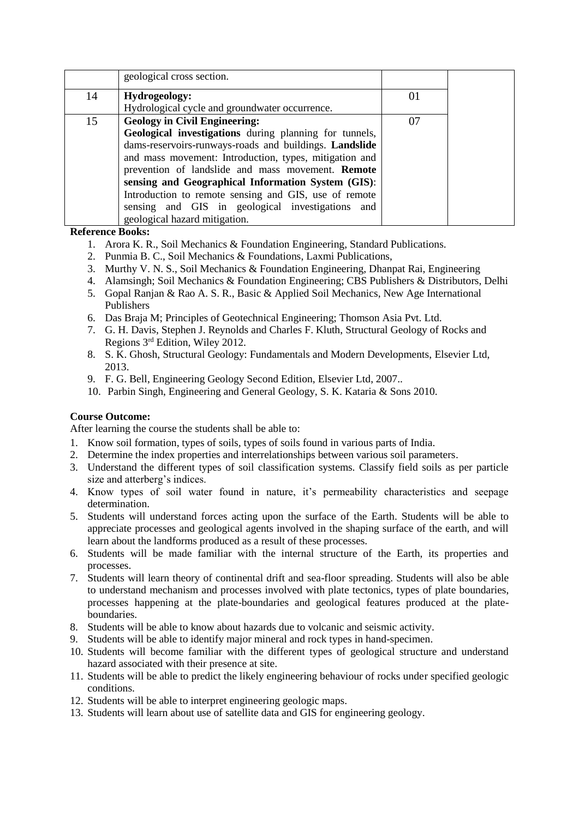|    | geological cross section.                              |    |  |
|----|--------------------------------------------------------|----|--|
| 14 | Hydrogeology:                                          | 01 |  |
|    | Hydrological cycle and groundwater occurrence.         |    |  |
| 15 | <b>Geology in Civil Engineering:</b>                   | 07 |  |
|    | Geological investigations during planning for tunnels, |    |  |
|    | dams-reservoirs-runways-roads and buildings. Landslide |    |  |
|    | and mass movement: Introduction, types, mitigation and |    |  |
|    | prevention of landslide and mass movement. Remote      |    |  |
|    | sensing and Geographical Information System (GIS):     |    |  |
|    | Introduction to remote sensing and GIS, use of remote  |    |  |
|    | sensing and GIS in geological investigations and       |    |  |
|    | geological hazard mitigation.                          |    |  |

**Reference Books:**

- 1. Arora K. R., Soil Mechanics & Foundation Engineering, Standard Publications.
- 2. Punmia B. C., Soil Mechanics & Foundations, Laxmi Publications,
- 3. Murthy V. N. S., Soil Mechanics & Foundation Engineering, Dhanpat Rai, Engineering
- 4. Alamsingh; Soil Mechanics & Foundation Engineering; CBS Publishers & Distributors, Delhi
- 5. Gopal Ranjan & Rao A. S. R., Basic & Applied Soil Mechanics, New Age International Publishers
- 6. Das Braja M; Principles of Geotechnical Engineering; Thomson Asia Pvt. Ltd.
- 7. G. H. Davis, Stephen J. Reynolds and Charles F. Kluth, Structural Geology of Rocks and Regions 3 rd Edition, Wiley 2012.
- 8. S. K. Ghosh, Structural Geology: Fundamentals and Modern Developments, Elsevier Ltd, 2013.
- 9. F. G. Bell, Engineering Geology Second Edition, Elsevier Ltd, 2007..
- 10. Parbin Singh, Engineering and General Geology, S. K. Kataria & Sons 2010.

## **Course Outcome:**

After learning the course the students shall be able to:

- 1. Know soil formation, types of soils, types of soils found in various parts of India.
- 2. Determine the index properties and interrelationships between various soil parameters.
- 3. Understand the different types of soil classification systems. Classify field soils as per particle size and atterberg's indices.
- 4. Know types of soil water found in nature, it's permeability characteristics and seepage determination.
- 5. Students will understand forces acting upon the surface of the Earth. Students will be able to appreciate processes and geological agents involved in the shaping surface of the earth, and will learn about the landforms produced as a result of these processes.
- 6. Students will be made familiar with the internal structure of the Earth, its properties and processes.
- 7. Students will learn theory of continental drift and sea-floor spreading. Students will also be able to understand mechanism and processes involved with plate tectonics, types of plate boundaries, processes happening at the plate-boundaries and geological features produced at the plateboundaries.
- 8. Students will be able to know about hazards due to volcanic and seismic activity.
- 9. Students will be able to identify major mineral and rock types in hand-specimen.
- 10. Students will become familiar with the different types of geological structure and understand hazard associated with their presence at site.
- 11. Students will be able to predict the likely engineering behaviour of rocks under specified geologic conditions.
- 12. Students will be able to interpret engineering geologic maps.
- 13. Students will learn about use of satellite data and GIS for engineering geology.